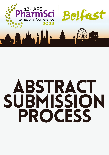

# abstract SUBMISSION PRoCESS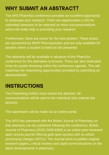## WHY SUBMIT AN ABSTRACT?

The APS PharmSci conference provides an excellent opportunity to showcase your research. There are opportunities (>20) for submitted abstracts to be selected as short oral presentations which will really help in promoting your research.

Furthermore, there are prizes for the best posters. These prizes are sponsored by MDPI Pharmaceutics and are only available for posters where a student is listed as the presenter.

The abstracts will be available in advance of the PharmSci conference for the attendees to browse. There are also dedicated times for poster browsing within the conference agenda. This will maximise the networking opportunities provided by submitting an abstract/poster.

#### **INSTRUCTIONS**

The Presenting Author must submit the abstract. All communications will be sent to the individual who submits the abstract.

The submission will be made via an online portal.

The APS has partnered with the British Journal of Pharmacy so that abstracts can be published following the conference. British Journal of Pharmacy (ISSN 2058-8356) is an online peer-reviewed open access journal offering gold open access with no article processing charges (APCs). The Journal aims to publish original research papers, critical reviews and rapid communications on the latest developments in pharmacy.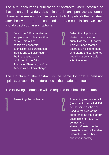The APS encourages publication of abstracts where possible so that research is widely disseminated in an open access format. However, some authors may prefer to NOT publish their abstract after the event and to accommodate those submissions we have two abstract submission options:

**2** 

 $\int$ 

Select the BJPharm abstract template and submit via their portal. This will be considered as formal submission for participation in APS and will also result in the final abstract being published in the British Journal of Pharmacy in Open Access without any charge.

1

Select the Unpublished abstract template and submit via the APS portal. This will mean that the abstract is visible to those who attend the conference but will not be available after the event.

The structure of the abstract is the same for both submission options, except minor differences in the header and footer.

The following information will be required to submit the abstract:

Presenting Author Name. 1

Presenting author's email (note that this email MUST be the same as the one used to register for the conference as the platform uses this information to connect the abstracts/posters to the presenters and will enable interaction with others about your poster).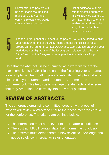3

Poster title. The posters will be searchable via the titles; make sure that your title contains relevant key words to maximise exposure.

List of additional authors with their email addresses: this will allow co-authors to be linked to the poster and enable permissions to be sought from all authors prior to publication.

5

The focus group that aligns best to the poster. You will be asked to align your research to one of the APS Focus groups; the full list of focus groups can be found here: https://www.apsgb.co.uk/focus-groups/ If your work does not align to any of the focus groups please select the box "other" and provide 3 keywords to help us identify reviewers for your work.

4

Note that the abstract will be submitted as a word file where the maximum size is 10MB. Please name the file using your surname, for example Batchelor.pdf. If you are submitting multiple abstracts please use your surname and a number: Surname1.pdf; Surname2.pdf. This helps us to manage the abstracts and ensure that they are uploaded correctly into the virtual platform.

### REVIEW OF ABSTRACTS

The conference organising committee together with a pool of experts will review abstracts to ensure that these meet the criteria for the conference. The criteria are outlined below:

- The information must be relevant to the PharmSci audience
- The abstract MUST contain data that informs the conclusion
- The abstract must demonstrate a new scientific knowledge and not be solely commercial, or sales orientated